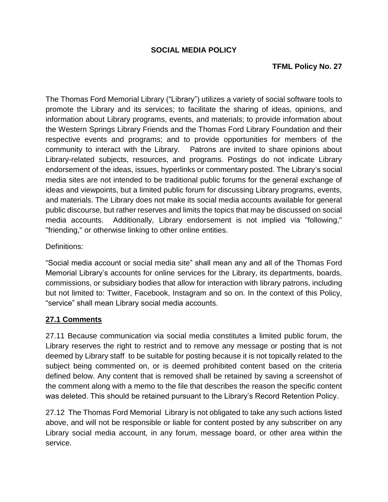### **SOCIAL MEDIA POLICY**

### **TFML Policy No. 27**

The Thomas Ford Memorial Library ("Library") utilizes a variety of social software tools to promote the Library and its services; to facilitate the sharing of ideas, opinions, and information about Library programs, events, and materials; to provide information about the Western Springs Library Friends and the Thomas Ford Library Foundation and their respective events and programs; and to provide opportunities for members of the community to interact with the Library. Patrons are invited to share opinions about Library-related subjects, resources, and programs. Postings do not indicate Library endorsement of the ideas, issues, hyperlinks or commentary posted. The Library's social media sites are not intended to be traditional public forums for the general exchange of ideas and viewpoints, but a limited public forum for discussing Library programs, events, and materials. The Library does not make its social media accounts available for general public discourse, but rather reserves and limits the topics that may be discussed on social media accounts. Additionally, Library endorsement is not implied via "following," "friending," or otherwise linking to other online entities.

#### Definitions:

"Social media account or social media site" shall mean any and all of the Thomas Ford Memorial Library's accounts for online services for the Library, its departments, boards, commissions, or subsidiary bodies that allow for interaction with library patrons, including but not limited to: Twitter, Facebook, Instagram and so on. In the context of this Policy, "service" shall mean Library social media accounts.

### **27.1 Comments**

27.11 Because communication via social media constitutes a limited public forum, the Library reserves the right to restrict and to remove any message or posting that is not deemed by Library staff to be suitable for posting because it is not topically related to the subject being commented on, or is deemed prohibited content based on the criteria defined below. Any content that is removed shall be retained by saving a screenshot of the comment along with a memo to the file that describes the reason the specific content was deleted. This should be retained pursuant to the Library's Record Retention Policy.

27.12 The Thomas Ford Memorial Library is not obligated to take any such actions listed above, and will not be responsible or liable for content posted by any subscriber on any Library social media account, in any forum, message board, or other area within the service.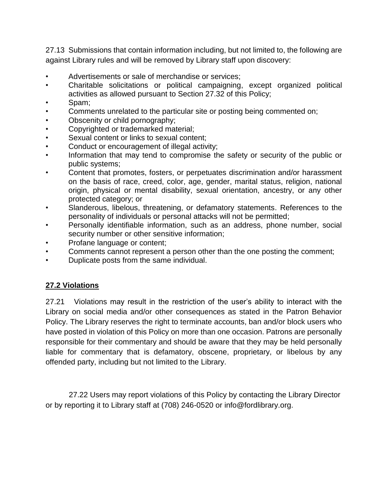27.13 Submissions that contain information including, but not limited to, the following are against Library rules and will be removed by Library staff upon discovery:

- Advertisements or sale of merchandise or services;
- Charitable solicitations or political campaigning, except organized political activities as allowed pursuant to Section 27.32 of this Policy;
- Spam;
- Comments unrelated to the particular site or posting being commented on;
- Obscenity or child pornography;
- Copyrighted or trademarked material;
- Sexual content or links to sexual content;
- Conduct or encouragement of illegal activity;
- Information that may tend to compromise the safety or security of the public or public systems;
- Content that promotes, fosters, or perpetuates discrimination and/or harassment on the basis of race, creed, color, age, gender, marital status, religion, national origin, physical or mental disability, sexual orientation, ancestry, or any other protected category; or
- Slanderous, libelous, threatening, or defamatory statements. References to the personality of individuals or personal attacks will not be permitted;
- Personally identifiable information, such as an address, phone number, social security number or other sensitive information;
- Profane language or content;
- Comments cannot represent a person other than the one posting the comment;
- Duplicate posts from the same individual.

### **27.2 Violations**

27.21 Violations may result in the restriction of the user's ability to interact with the Library on social media and/or other consequences as stated in the Patron Behavior Policy. The Library reserves the right to terminate accounts, ban and/or block users who have posted in violation of this Policy on more than one occasion. Patrons are personally responsible for their commentary and should be aware that they may be held personally liable for commentary that is defamatory, obscene, proprietary, or libelous by any offended party, including but not limited to the Library.

 27.22 Users may report violations of this Policy by contacting the Library Director or by reporting it to Library staff at (708) 246-0520 or info@fordlibrary.org.